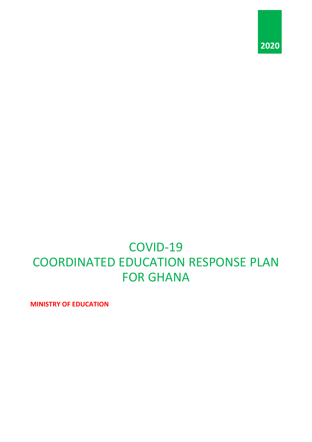

# COVID-19 COORDINATED EDUCATION RESPONSE PLAN FOR GHANA

**MINISTRY OF EDUCATION**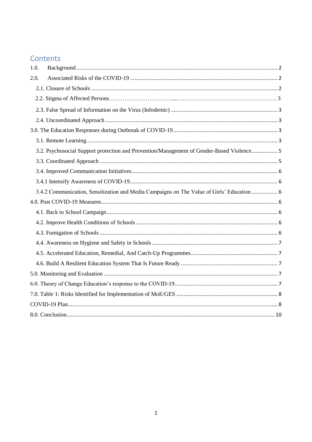# Contents

| 1.0. |                                                                                            |  |
|------|--------------------------------------------------------------------------------------------|--|
| 2.0. |                                                                                            |  |
|      |                                                                                            |  |
|      |                                                                                            |  |
|      |                                                                                            |  |
|      |                                                                                            |  |
|      |                                                                                            |  |
|      |                                                                                            |  |
|      | 3.2. Psychosocial Support protection and Prevention/Management of Gender-Based Violence 5  |  |
|      |                                                                                            |  |
|      |                                                                                            |  |
|      |                                                                                            |  |
|      | 3.4.2 Communication, Sensitization and Media Campaigns on The Value of Girls' Education  6 |  |
|      |                                                                                            |  |
|      |                                                                                            |  |
|      |                                                                                            |  |
|      |                                                                                            |  |
|      |                                                                                            |  |
|      |                                                                                            |  |
|      |                                                                                            |  |
|      |                                                                                            |  |
|      |                                                                                            |  |
|      |                                                                                            |  |
|      |                                                                                            |  |
|      |                                                                                            |  |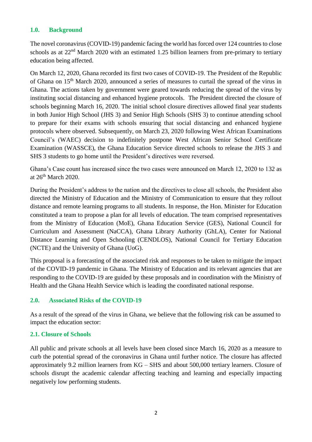#### <span id="page-2-0"></span>**1.0. Background**

The novel coronavirus (COVID-19) pandemic facing the world has forced over 124 countries to close schools as at  $22<sup>nd</sup>$  March 2020 with an estimated 1.25 billion learners from pre-primary to tertiary education being affected.

On March 12, 2020, Ghana recorded its first two cases of COVID-19. The President of the Republic of Ghana on 15<sup>th</sup> March 2020, announced a series of measures to curtail the spread of the virus in Ghana. The actions taken by government were geared towards reducing the spread of the virus by instituting social distancing and enhanced hygiene protocols. The President directed the closure of schools beginning March 16, 2020. The initial school closure directives allowed final year students in both Junior High School (JHS 3) and Senior High Schools (SHS 3) to continue attending school to prepare for their exams with schools ensuring that social distancing and enhanced hygiene protocols where observed. Subsequently, on March 23, 2020 following West African Examinations Council's (WAEC) decision to indefinitely postpone West African Senior School Certificate Examination (WASSCE), the Ghana Education Service directed schools to release the JHS 3 and SHS 3 students to go home until the President's directives were reversed.

Ghana's Case count has increased since the two cases were announced on March 12, 2020 to 132 as at  $26<sup>th</sup>$  March  $2020$ .

During the President's address to the nation and the directives to close all schools, the President also directed the Ministry of Education and the Ministry of Communication to ensure that they rollout distance and remote learning programs to all students. In response, the Hon. Minister for Education constituted a team to propose a plan for all levels of education. The team comprised representatives from the Ministry of Education (MoE), Ghana Education Service (GES), National Council for Curriculum and Assessment (NaCCA), Ghana Library Authority (GhLA), Center for National Distance Learning and Open Schooling (CENDLOS), National Council for Tertiary Education (NCTE) and the University of Ghana (UoG).

This proposal is a forecasting of the associated risk and responses to be taken to mitigate the impact of the COVID-19 pandemic in Ghana. The Ministry of Education and its relevant agencies that are responding to the COVID-19 are guided by these proposals and in coordination with the Ministry of Health and the Ghana Health Service which is leading the coordinated national response.

#### <span id="page-2-1"></span>**2.0. Associated Risks of the COVID-19**

As a result of the spread of the virus in Ghana, we believe that the following risk can be assumed to impact the education sector:

#### <span id="page-2-2"></span>**2.1. Closure of Schools**

All public and private schools at all levels have been closed since March 16, 2020 as a measure to curb the potential spread of the coronavirus in Ghana until further notice. The closure has affected approximately 9.2 million learners from KG – SHS and about 500,000 tertiary learners. Closure of schools disrupt the academic calendar affecting teaching and learning and especially impacting negatively low performing students.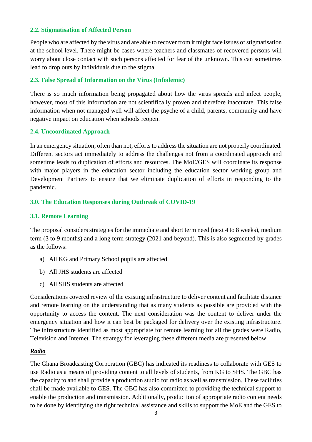#### **2.2. Stigmatisation of Affected Person**

People who are affected by the virus and are able to recover from it might face issues of stigmatisation at the school level. There might be cases where teachers and classmates of recovered persons will worry about close contact with such persons affected for fear of the unknown. This can sometimes lead to drop outs by individuals due to the stigma.

#### <span id="page-3-0"></span>**2.3. False Spread of Information on the Virus (Infodemic)**

There is so much information being propagated about how the virus spreads and infect people, however, most of this information are not scientifically proven and therefore inaccurate. This false information when not managed well will affect the psyche of a child, parents, community and have negative impact on education when schools reopen.

#### <span id="page-3-1"></span>**2.4. Uncoordinated Approach**

In an emergency situation, often than not, efforts to address the situation are not properly coordinated. Different sectors act immediately to address the challenges not from a coordinated approach and sometime leads to duplication of efforts and resources. The MoE/GES will coordinate its response with major players in the education sector including the education sector working group and Development Partners to ensure that we eliminate duplication of efforts in responding to the pandemic.

#### <span id="page-3-2"></span>**3.0. The Education Responses during Outbreak of COVID-19**

#### <span id="page-3-3"></span>**3.1. Remote Learning**

The proposal considers strategies for the immediate and short term need (next 4 to 8 weeks), medium term (3 to 9 months) and a long term strategy (2021 and beyond). This is also segmented by grades as the follows:

- a) All KG and Primary School pupils are affected
- b) All JHS students are affected
- c) All SHS students are affected

Considerations covered review of the existing infrastructure to deliver content and facilitate distance and remote learning on the understanding that as many students as possible are provided with the opportunity to access the content. The next consideration was the content to deliver under the emergency situation and how it can best be packaged for delivery over the existing infrastructure. The infrastructure identified as most appropriate for remote learning for all the grades were Radio, Television and Internet. The strategy for leveraging these different media are presented below.

#### *Radio*

The Ghana Broadcasting Corporation (GBC) has indicated its readiness to collaborate with GES to use Radio as a means of providing content to all levels of students, from KG to SHS. The GBC has the capacity to and shall provide a production studio for radio as well as transmission. These facilities shall be made available to GES. The GBC has also committed to providing the technical support to enable the production and transmission. Additionally, production of appropriate radio content needs to be done by identifying the right technical assistance and skills to support the MoE and the GES to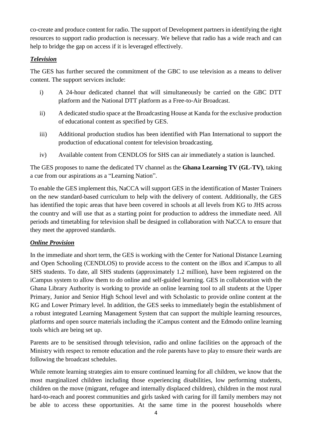co-create and produce content for radio. The support of Development partners in identifying the right resources to support radio production is necessary. We believe that radio has a wide reach and can help to bridge the gap on access if it is leveraged effectively.

# *Television*

The GES has further secured the commitment of the GBC to use television as a means to deliver content. The support services include:

- i) A 24-hour dedicated channel that will simultaneously be carried on the GBC DTT platform and the National DTT platform as a Free-to-Air Broadcast.
- ii) A dedicated studio space at the Broadcasting House at Kanda for the exclusive production of educational content as specified by GES.
- iii) Additional production studios has been identified with Plan International to support the production of educational content for television broadcasting.
- iv) Available content from CENDLOS for SHS can air immediately a station is launched.

The GES proposes to name the dedicated TV channel as the **Ghana Learning TV (GL-TV)**, taking a cue from our aspirations as a "Learning Nation".

To enable the GES implement this, NaCCA will support GES in the identification of Master Trainers on the new standard-based curriculum to help with the delivery of content. Additionally, the GES has identified the topic areas that have been covered in schools at all levels from KG to JHS across the country and will use that as a starting point for production to address the immediate need. All periods and timetabling for television shall be designed in collaboration with NaCCA to ensure that they meet the approved standards.

# *Online Provision*

In the immediate and short term, the GES is working with the Center for National Distance Learning and Open Schooling (CENDLOS) to provide access to the content on the iBox and iCampus to all SHS students. To date, all SHS students (approximately 1.2 million), have been registered on the iCampus system to allow them to do online and self-guided learning. GES in collaboration with the Ghana Library Authority is working to provide an online learning tool to all students at the Upper Primary, Junior and Senior High School level and with Scholastic to provide online content at the KG and Lower Primary level. In addition, the GES seeks to immediately begin the establishment of a robust integrated Learning Management System that can support the multiple learning resources, platforms and open source materials including the iCampus content and the Edmodo online learning tools which are being set up.

Parents are to be sensitised through television, radio and online facilities on the approach of the Ministry with respect to remote education and the role parents have to play to ensure their wards are following the broadcast schedules.

While remote learning strategies aim to ensure continued learning for all children, we know that the most marginalized children including those experiencing disabilities, low performing students, children on the move (migrant, refugee and internally displaced children), children in the most rural hard-to-reach and poorest communities and girls tasked with caring for ill family members may not be able to access these opportunities. At the same time in the poorest households where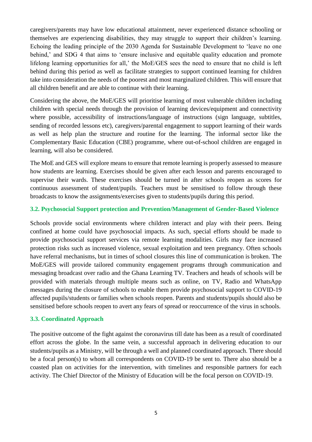caregivers/parents may have low educational attainment, never experienced distance schooling or themselves are experiencing disabilities, they may struggle to support their children's learning. Echoing the leading principle of the 2030 Agenda for Sustainable Development to 'leave no one behind,' and SDG 4 that aims to 'ensure inclusive and equitable quality education and promote lifelong learning opportunities for all,' the MoE/GES sees the need to ensure that no child is left behind during this period as well as facilitate strategies to support continued learning for children take into consideration the needs of the poorest and most marginalized children. This will ensure that all children benefit and are able to continue with their learning.

Considering the above, the MoE/GES will prioritise learning of most vulnerable children including children with special needs through the provision of learning devices/equipment and connectivity where possible, accessibility of instructions/language of instructions (sign language, subtitles, sending of recorded lessons etc), caregivers/parental engagement to support learning of their wards as well as help plan the structure and routine for the learning. The informal sector like the Complementary Basic Education (CBE) programme, where out-of-school children are engaged in learning, will also be considered.

The MoE and GES will explore means to ensure that remote learning is properly assessed to measure how students are learning. Exercises should be given after each lesson and parents encouraged to supervise their wards. These exercises should be turned in after schools reopen as scores for continuous assessment of student/pupils. Teachers must be sensitised to follow through these broadcasts to know the assignments/exercises given to students/pupils during this period.

#### <span id="page-5-0"></span>**3.2. Psychosocial Support protection and Prevention/Management of Gender-Based Violence**

Schools provide social environments where children interact and play with their peers. Being confined at home could have psychosocial impacts. As such, special efforts should be made to provide psychosocial support services via remote learning modalities. Girls may face increased protection risks such as increased violence, sexual exploitation and teen pregnancy. Often schools have referral mechanisms, but in times of school closures this line of communication is broken. The MoE/GES will provide tailored community engagement programs through communication and messaging broadcast over radio and the Ghana Learning TV. Teachers and heads of schools will be provided with materials through multiple means such as online, on TV, Radio and WhatsApp messages during the closure of schools to enable them provide psychosocial support to COVID-19 affected pupils/students or families when schools reopen. Parents and students/pupils should also be sensitised before schools reopen to avert any fears of spread or reoccurrence of the virus in schools.

#### <span id="page-5-1"></span>**3.3. Coordinated Approach**

The positive outcome of the fight against the coronavirus till date has been as a result of coordinated effort across the globe. In the same vein, a successful approach in delivering education to our students/pupils as a Ministry, will be through a well and planned coordinated approach. There should be a focal person(s) to whom all correspondents on COVID-19 be sent to. There also should be a coasted plan on activities for the intervention, with timelines and responsible partners for each activity. The Chief Director of the Ministry of Education will be the focal person on COVID-19.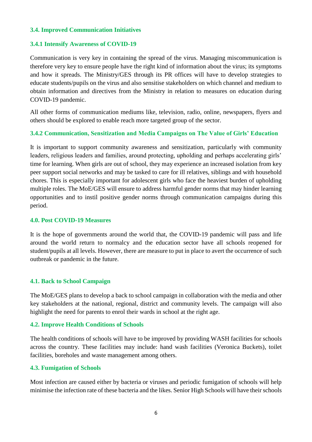#### <span id="page-6-0"></span>**3.4. Improved Communication Initiatives**

#### <span id="page-6-1"></span>**3.4.1 Intensify Awareness of COVID-19**

Communication is very key in containing the spread of the virus. Managing miscommunication is therefore very key to ensure people have the right kind of information about the virus; its symptoms and how it spreads. The Ministry/GES through its PR offices will have to develop strategies to educate students/pupils on the virus and also sensitise stakeholders on which channel and medium to obtain information and directives from the Ministry in relation to measures on education during COVID-19 pandemic.

All other forms of communication mediums like, television, radio, online, newspapers, flyers and others should be explored to enable reach more targeted group of the sector.

#### <span id="page-6-2"></span>**3.4.2 Communication, Sensitization and Media Campaigns on The Value of Girls' Education**

It is important to support community awareness and sensitization, particularly with community leaders, religious leaders and families, around protecting, upholding and perhaps accelerating girls' time for learning. When girls are out of school, they may experience an increased isolation from key peer support social networks and may be tasked to care for ill relatives, siblings and with household chores. This is especially important for adolescent girls who face the heaviest burden of upholding multiple roles. The MoE/GES will ensure to address harmful gender norms that may hinder learning opportunities and to instil positive gender norms through communication campaigns during this period.

#### <span id="page-6-3"></span>**4.0. Post COVID-19 Measures**

It is the hope of governments around the world that, the COVID-19 pandemic will pass and life around the world return to normalcy and the education sector have all schools reopened for student/pupils at all levels. However, there are measure to put in place to avert the occurrence of such outbreak or pandemic in the future.

#### <span id="page-6-4"></span>**4.1. Back to School Campaign**

The MoE/GES plans to develop a back to school campaign in collaboration with the media and other key stakeholders at the national, regional, district and community levels. The campaign will also highlight the need for parents to enrol their wards in school at the right age.

#### <span id="page-6-5"></span>**4.2. Improve Health Conditions of Schools**

The health conditions of schools will have to be improved by providing WASH facilities for schools across the country. These facilities may include: hand wash facilities (Veronica Buckets), toilet facilities, boreholes and waste management among others.

#### <span id="page-6-6"></span>**4.3. Fumigation of Schools**

Most infection are caused either by bacteria or viruses and periodic fumigation of schools will help minimise the infection rate of these bacteria and the likes. Senior High Schools will have their schools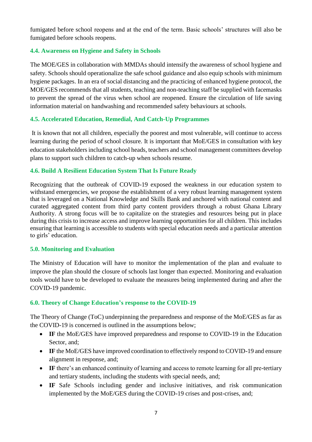fumigated before school reopens and at the end of the term. Basic schools' structures will also be fumigated before schools reopens.

## <span id="page-7-0"></span>**4.4. Awareness on Hygiene and Safety in Schools**

The MOE/GES in collaboration with MMDAs should intensify the awareness of school hygiene and safety. Schools should operationalize the safe school guidance and also equip schools with minimum hygiene packages. In an era of social distancing and the practicing of enhanced hygiene protocol, the MOE/GES recommends that all students, teaching and non-teaching staff be supplied with facemasks to prevent the spread of the virus when school are reopened. Ensure the circulation of life saving information material on handwashing and recommended safety behaviours at schools.

## <span id="page-7-1"></span>**4.5. Accelerated Education, Remedial, And Catch-Up Programmes**

It is known that not all children, especially the poorest and most vulnerable, will continue to access learning during the period of school closure. It is important that MoE/GES in consultation with key education stakeholders including school heads, teachers and school management committees develop plans to support such children to catch-up when schools resume.

#### <span id="page-7-2"></span>**4.6. Build A Resilient Education System That Is Future Ready**

Recognizing that the outbreak of COVID-19 exposed the weakness in our education system to withstand emergencies, we propose the establishment of a very robust learning management system that is leveraged on a National Knowledge and Skills Bank and anchored with national content and curated aggregated content from third party content providers through a robust Ghana Library Authority. A strong focus will be to capitalize on the strategies and resources being put in place during this crisis to increase access and improve learning opportunities for all children. This includes ensuring that learning is accessible to students with special education needs and a particular attention to girls' education.

#### <span id="page-7-3"></span>**5.0. Monitoring and Evaluation**

The Ministry of Education will have to monitor the implementation of the plan and evaluate to improve the plan should the closure of schools last longer than expected. Monitoring and evaluation tools would have to be developed to evaluate the measures being implemented during and after the COVID-19 pandemic.

#### <span id="page-7-4"></span>**6.0. Theory of Change Education's response to the COVID-19**

The Theory of Change (ToC) underpinning the preparedness and response of the MoE/GES as far as the COVID-19 is concerned is outlined in the assumptions below;

- IF the MoE/GES have improved preparedness and response to COVID-19 in the Education Sector, and:
- **IF** the MoE/GES have improved coordination to effectively respond to COVID-19 and ensure alignment in response, and;
- IF there's an enhanced continuity of learning and access to remote learning for all pre-tertiary and tertiary students, including the students with special needs, and;
- **IF** Safe Schools including gender and inclusive initiatives, and risk communication implemented by the MoE/GES during the COVID-19 crises and post-crises, and;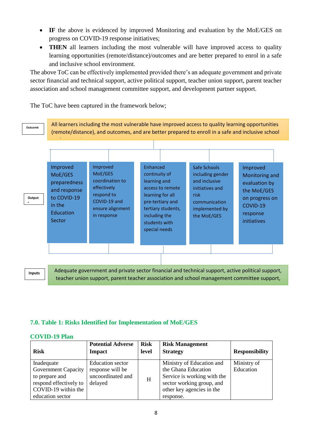- **IF** the above is evidenced by improved Monitoring and evaluation by the MoE/GES on progress on COVID-19 response initiatives;
- **THEN** all learners including the most vulnerable will have improved access to quality learning opportunities (remote/distance)/outcomes and are better prepared to enrol in a safe and inclusive school environment.

The above ToC can be effectively implemented provided there's an adequate government and private sector financial and technical support, active political support, teacher union support, parent teacher association and school management committee support, and development partner support.

The ToC have been captured in the framework below;



**Inputs**

Adequate government and private sector financial and technical support, active political support, teacher union support, parent teacher association and school management committee support,

and development partner support.

# <span id="page-8-0"></span>**7.0. Table 1: Risks Identified for Implementation of MoE/GES**

#### <span id="page-8-1"></span>**COVID-19 Plan**

| <b>Risk</b>                                                                                                                     | <b>Potential Adverse</b><br><b>Impact</b>                                   | <b>Risk</b><br>level | <b>Risk Management</b><br><b>Strategy</b>                                                                                                              | <b>Responsibility</b>    |
|---------------------------------------------------------------------------------------------------------------------------------|-----------------------------------------------------------------------------|----------------------|--------------------------------------------------------------------------------------------------------------------------------------------------------|--------------------------|
| Inadequate<br><b>Government Capacity</b><br>to prepare and<br>respond effectively to<br>COVID-19 within the<br>education sector | <b>Education</b> sector<br>response will be<br>uncoordinated and<br>delayed | H                    | Ministry of Education and<br>the Ghana Education<br>Service is working with the<br>sector working group, and<br>other key agencies in the<br>response. | Ministry of<br>Education |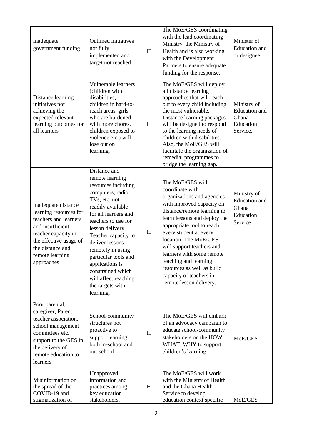| Inadequate<br>government funding                                                                                                                                                                 | <b>Outlined</b> initiatives<br>not fully<br>implemented and<br>target not reached                                                                                                                                                                                                                                                                                            | H | The MoE/GES coordinating<br>with the lead coordinating<br>Ministry, the Ministry of<br>Health and is also working<br>with the Development<br>Partners to ensure adequate<br>funding for the response.                                                                                                                                                                                                                | Minister of<br><b>Education</b> and<br>or designee                    |
|--------------------------------------------------------------------------------------------------------------------------------------------------------------------------------------------------|------------------------------------------------------------------------------------------------------------------------------------------------------------------------------------------------------------------------------------------------------------------------------------------------------------------------------------------------------------------------------|---|----------------------------------------------------------------------------------------------------------------------------------------------------------------------------------------------------------------------------------------------------------------------------------------------------------------------------------------------------------------------------------------------------------------------|-----------------------------------------------------------------------|
| Distance learning<br>initiatives not<br>achieving the<br>expected relevant<br>learning outcomes for<br>all learners                                                                              | Vulnerable learners<br>(children with<br>disabilities,<br>children in hard-to-<br>reach areas, girls<br>who are burdened<br>with more chores,<br>children exposed to<br>violence etc.) will<br>lose out on<br>learning.                                                                                                                                                      | H | The MoE/GES will deploy<br>all distance learning<br>approaches that will reach<br>out to every child including<br>the most vulnerable.<br>Distance learning packages<br>will be designed to respond<br>to the learning needs of<br>children with disabilities.<br>Also, the MoE/GES will<br>facilitate the organization of<br>remedial programmes to<br>bridge the learning gap.                                     | Ministry of<br><b>Education</b> and<br>Ghana<br>Education<br>Service. |
| Inadequate distance<br>learning resources for<br>teachers and learners<br>and insufficient<br>teacher capacity in<br>the effective usage of<br>the distance and<br>remote learning<br>approaches | Distance and<br>remote learning<br>resources including<br>computers, radio,<br>TVs, etc. not<br>readily available<br>for all learners and<br>teachers to use for<br>lesson delivery.<br>Teacher capacity to<br>deliver lessons<br>remotely in using<br>particular tools and<br>applications is<br>constrained which<br>will affect reaching<br>the targets with<br>learning. | H | The MoE/GES will<br>coordinate with<br>organizations and agencies<br>with improved capacity on<br>distance/remote learning to<br>learn lessons and deploy the<br>appropriate tool to reach<br>every student at every<br>location. The MoE/GES<br>will support teachers and<br>learners with some remote<br>teaching and learning<br>resources as well as build<br>capacity of teachers in<br>remote lesson delivery. | Ministry of<br><b>Education</b> and<br>Ghana<br>Education<br>Service  |
| Poor parental,<br>caregiver, Parent<br>teacher association,<br>school management<br>committees etc.<br>support to the GES in<br>the delivery of<br>remote education to<br>learners               | School-community<br>structures not<br>proactive to<br>support learning<br>both in-school and<br>out-school                                                                                                                                                                                                                                                                   | H | The MoE/GES will embark<br>of an advocacy campaign to<br>educate school-community<br>stakeholders on the HOW,<br>WHAT, WHY to support<br>children's learning                                                                                                                                                                                                                                                         | MoE/GES                                                               |
| Misinformation on<br>the spread of the<br>COVID-19 and<br>stigmatization of                                                                                                                      | Unapproved<br>information and<br>practices among<br>key education<br>stakeholders,                                                                                                                                                                                                                                                                                           | H | The MoE/GES will work<br>with the Ministry of Health<br>and the Ghana Health<br>Service to develop<br>education context specific                                                                                                                                                                                                                                                                                     | MoE/GES                                                               |